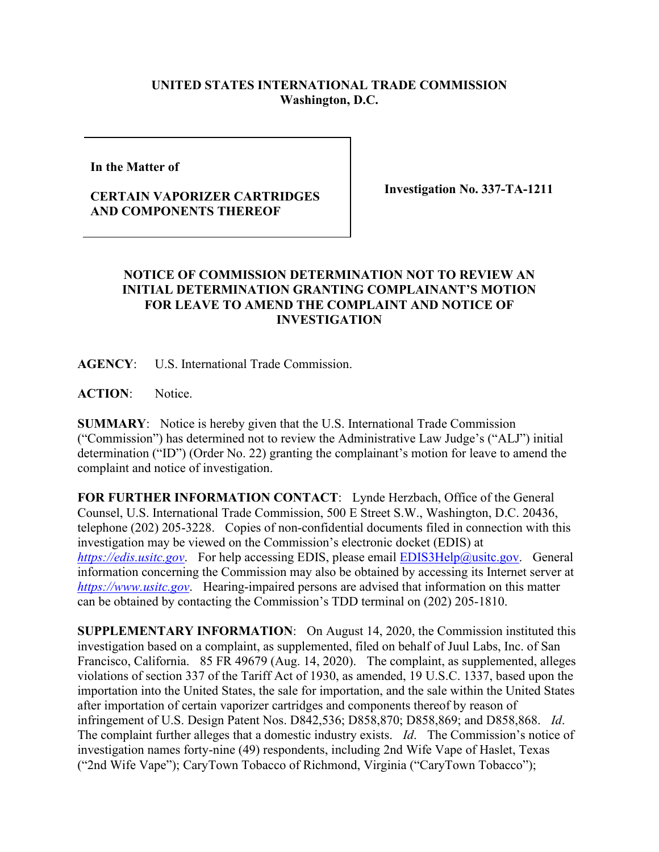## **UNITED STATES INTERNATIONAL TRADE COMMISSION Washington, D.C.**

**In the Matter of** 

## **CERTAIN VAPORIZER CARTRIDGES AND COMPONENTS THEREOF**

**Investigation No. 337-TA-1211**

## **NOTICE OF COMMISSION DETERMINATION NOT TO REVIEW AN INITIAL DETERMINATION GRANTING COMPLAINANT'S MOTION FOR LEAVE TO AMEND THE COMPLAINT AND NOTICE OF INVESTIGATION**

**AGENCY**: U.S. International Trade Commission.

**ACTION**: Notice.

**SUMMARY**: Notice is hereby given that the U.S. International Trade Commission ("Commission") has determined not to review the Administrative Law Judge's ("ALJ") initial determination ("ID") (Order No. 22) granting the complainant's motion for leave to amend the complaint and notice of investigation.

**FOR FURTHER INFORMATION CONTACT**: Lynde Herzbach, Office of the General Counsel, U.S. International Trade Commission, 500 E Street S.W., Washington, D.C. 20436, telephone (202) 205-3228. Copies of non-confidential documents filed in connection with this investigation may be viewed on the Commission's electronic docket (EDIS) at *[https://edis.usitc.gov](https://edis.usitc.gov/).* For help accessing EDIS, please email [EDIS3Help@usitc.gov.](mailto:EDIS3Help@usitc.gov) General information concerning the Commission may also be obtained by accessing its Internet server at *[https://www.usitc.gov](https://www.usitc.gov/)*. Hearing-impaired persons are advised that information on this matter can be obtained by contacting the Commission's TDD terminal on (202) 205-1810.

**SUPPLEMENTARY INFORMATION**: On August 14, 2020, the Commission instituted this investigation based on a complaint, as supplemented, filed on behalf of Juul Labs, Inc. of San Francisco, California. 85 FR 49679 (Aug. 14, 2020). The complaint, as supplemented, alleges violations of section 337 of the Tariff Act of 1930, as amended, 19 U.S.C. 1337, based upon the importation into the United States, the sale for importation, and the sale within the United States after importation of certain vaporizer cartridges and components thereof by reason of infringement of U.S. Design Patent Nos. D842,536; D858,870; D858,869; and D858,868. *Id*. The complaint further alleges that a domestic industry exists. *Id*. The Commission's notice of investigation names forty-nine (49) respondents, including 2nd Wife Vape of Haslet, Texas ("2nd Wife Vape"); CaryTown Tobacco of Richmond, Virginia ("CaryTown Tobacco");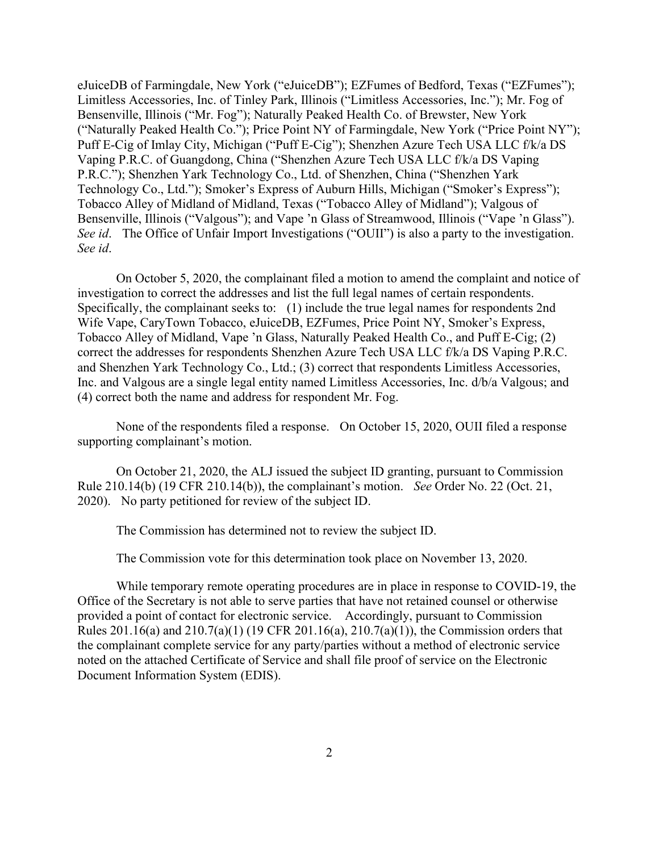eJuiceDB of Farmingdale, New York ("eJuiceDB"); EZFumes of Bedford, Texas ("EZFumes"); Limitless Accessories, Inc. of Tinley Park, Illinois ("Limitless Accessories, Inc."); Mr. Fog of Bensenville, Illinois ("Mr. Fog"); Naturally Peaked Health Co. of Brewster, New York ("Naturally Peaked Health Co."); Price Point NY of Farmingdale, New York ("Price Point NY"); Puff E-Cig of Imlay City, Michigan ("Puff E-Cig"); Shenzhen Azure Tech USA LLC f/k/a DS Vaping P.R.C. of Guangdong, China ("Shenzhen Azure Tech USA LLC f/k/a DS Vaping P.R.C."); Shenzhen Yark Technology Co., Ltd. of Shenzhen, China ("Shenzhen Yark Technology Co., Ltd."); Smoker's Express of Auburn Hills, Michigan ("Smoker's Express"); Tobacco Alley of Midland of Midland, Texas ("Tobacco Alley of Midland"); Valgous of Bensenville, Illinois ("Valgous"); and Vape 'n Glass of Streamwood, Illinois ("Vape 'n Glass"). *See id.* The Office of Unfair Import Investigations ("OUII") is also a party to the investigation. *See id*.

On October 5, 2020, the complainant filed a motion to amend the complaint and notice of investigation to correct the addresses and list the full legal names of certain respondents. Specifically, the complainant seeks to: (1) include the true legal names for respondents 2nd Wife Vape, CaryTown Tobacco, eJuiceDB, EZFumes, Price Point NY, Smoker's Express, Tobacco Alley of Midland, Vape 'n Glass, Naturally Peaked Health Co., and Puff E-Cig; (2) correct the addresses for respondents Shenzhen Azure Tech USA LLC f/k/a DS Vaping P.R.C. and Shenzhen Yark Technology Co., Ltd.; (3) correct that respondents Limitless Accessories, Inc. and Valgous are a single legal entity named Limitless Accessories, Inc. d/b/a Valgous; and (4) correct both the name and address for respondent Mr. Fog.

None of the respondents filed a response. On October 15, 2020, OUII filed a response supporting complainant's motion.

On October 21, 2020, the ALJ issued the subject ID granting, pursuant to Commission Rule 210.14(b) (19 CFR 210.14(b)), the complainant's motion. *See* Order No. 22 (Oct. 21, 2020). No party petitioned for review of the subject ID.

The Commission has determined not to review the subject ID.

The Commission vote for this determination took place on November 13, 2020.

While temporary remote operating procedures are in place in response to COVID-19, the Office of the Secretary is not able to serve parties that have not retained counsel or otherwise provided a point of contact for electronic service. Accordingly, pursuant to Commission Rules 201.16(a) and 210.7(a)(1) (19 CFR 201.16(a), 210.7(a)(1)), the Commission orders that the complainant complete service for any party/parties without a method of electronic service noted on the attached Certificate of Service and shall file proof of service on the Electronic Document Information System (EDIS).